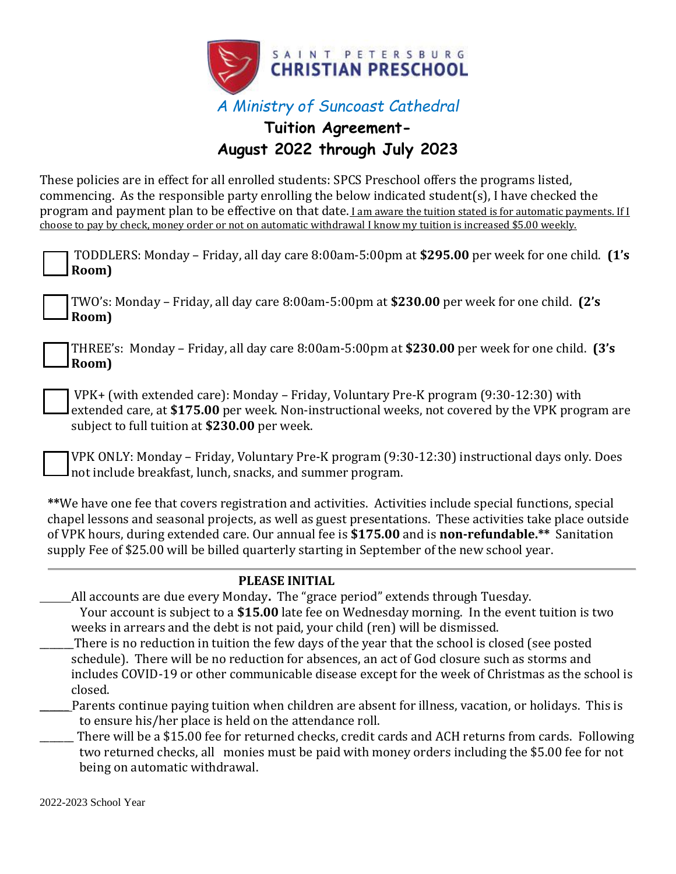

## **Tuition Agreement-August 2022 through July 2023**

These policies are in effect for all enrolled students: SPCS Preschool offers the programs listed, commencing. As the responsible party enrolling the below indicated student(s), I have checked the program and payment plan to be effective on that date. I am aware the tuition stated is for automatic payments. If I choose to pay by check, money order or not on automatic withdrawal I know my tuition is increased \$5.00 weekly.

\_\_\_\_\_\_\_ There will be a \$15.00 fee for returned checks, credit cards and ACH returns from cards. Following two returned checks, all monies must be paid with money orders including the \$5.00 fee for not being on automatic withdrawal.